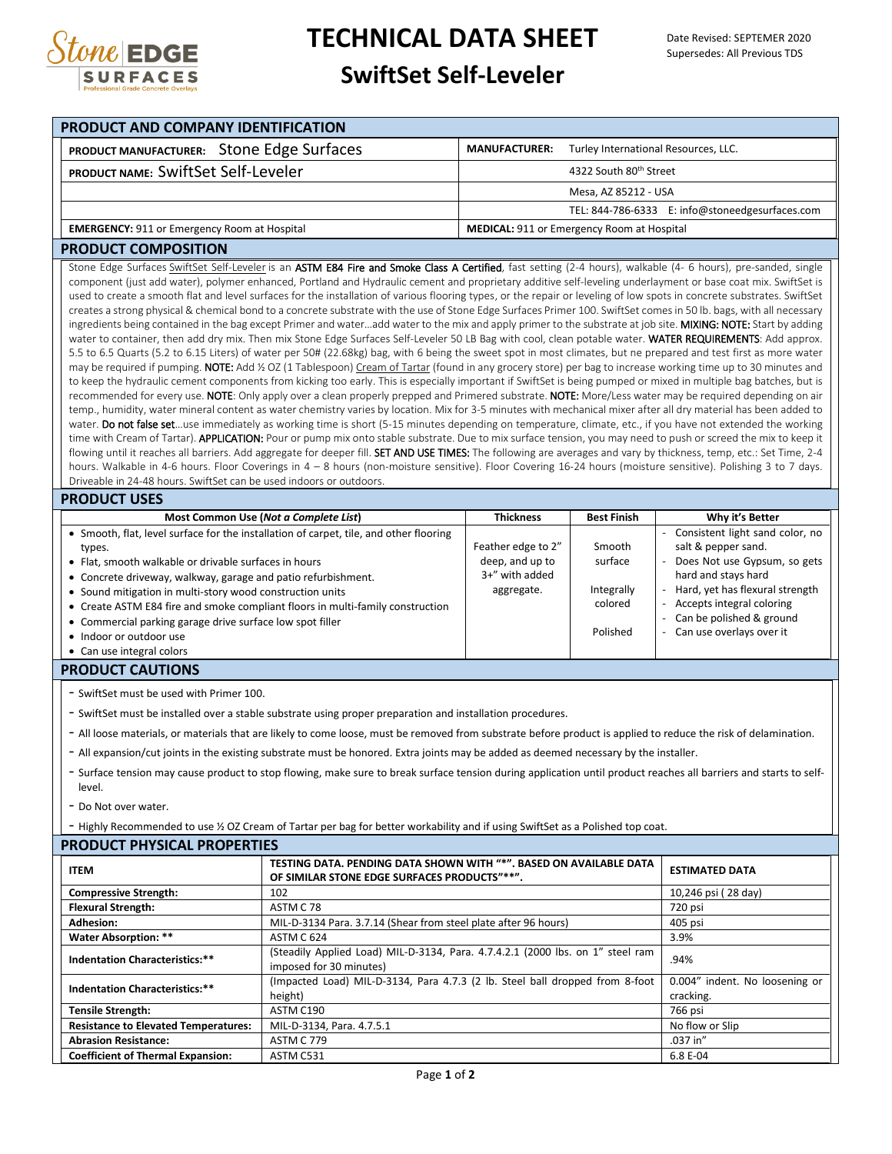

## **TECHNICAL DATA SHEET**

## **SwiftSet Self-Leveler**

| PRODUCT AND COMPANY IDENTIFICATION                                                                                                                                                                                                                                                                                                                                                                                                                                                                                                                                                                                                                                                                                                                                                                                                                                                                                                                                                                                                                                                                                                                                             |                                                                                                                                                                                                                                                                                                                                                                                                                                                                                                                                                                                                                                                                                                                                                                                                                                                                                                                                                                                                                                                                                                                                                                                                                                                                                                                                                                                                                                                                                                                                                                                                                                                                                                                                                                                                                                                                                                                                                                                                                                                                                                                                                                                                                                                                                                                                                                                                                                                                                                                                        |                                                                       |                                                        |                                                                                                                                                                                                                                         |  |  |
|--------------------------------------------------------------------------------------------------------------------------------------------------------------------------------------------------------------------------------------------------------------------------------------------------------------------------------------------------------------------------------------------------------------------------------------------------------------------------------------------------------------------------------------------------------------------------------------------------------------------------------------------------------------------------------------------------------------------------------------------------------------------------------------------------------------------------------------------------------------------------------------------------------------------------------------------------------------------------------------------------------------------------------------------------------------------------------------------------------------------------------------------------------------------------------|----------------------------------------------------------------------------------------------------------------------------------------------------------------------------------------------------------------------------------------------------------------------------------------------------------------------------------------------------------------------------------------------------------------------------------------------------------------------------------------------------------------------------------------------------------------------------------------------------------------------------------------------------------------------------------------------------------------------------------------------------------------------------------------------------------------------------------------------------------------------------------------------------------------------------------------------------------------------------------------------------------------------------------------------------------------------------------------------------------------------------------------------------------------------------------------------------------------------------------------------------------------------------------------------------------------------------------------------------------------------------------------------------------------------------------------------------------------------------------------------------------------------------------------------------------------------------------------------------------------------------------------------------------------------------------------------------------------------------------------------------------------------------------------------------------------------------------------------------------------------------------------------------------------------------------------------------------------------------------------------------------------------------------------------------------------------------------------------------------------------------------------------------------------------------------------------------------------------------------------------------------------------------------------------------------------------------------------------------------------------------------------------------------------------------------------------------------------------------------------------------------------------------------------|-----------------------------------------------------------------------|--------------------------------------------------------|-----------------------------------------------------------------------------------------------------------------------------------------------------------------------------------------------------------------------------------------|--|--|
| PRODUCT MANUFACTURER: Stone Edge Surfaces                                                                                                                                                                                                                                                                                                                                                                                                                                                                                                                                                                                                                                                                                                                                                                                                                                                                                                                                                                                                                                                                                                                                      |                                                                                                                                                                                                                                                                                                                                                                                                                                                                                                                                                                                                                                                                                                                                                                                                                                                                                                                                                                                                                                                                                                                                                                                                                                                                                                                                                                                                                                                                                                                                                                                                                                                                                                                                                                                                                                                                                                                                                                                                                                                                                                                                                                                                                                                                                                                                                                                                                                                                                                                                        | <b>MANUFACTURER:</b>                                                  | Turley International Resources, LLC.                   |                                                                                                                                                                                                                                         |  |  |
| PRODUCT NAME: SwiftSet Self-Leveler                                                                                                                                                                                                                                                                                                                                                                                                                                                                                                                                                                                                                                                                                                                                                                                                                                                                                                                                                                                                                                                                                                                                            |                                                                                                                                                                                                                                                                                                                                                                                                                                                                                                                                                                                                                                                                                                                                                                                                                                                                                                                                                                                                                                                                                                                                                                                                                                                                                                                                                                                                                                                                                                                                                                                                                                                                                                                                                                                                                                                                                                                                                                                                                                                                                                                                                                                                                                                                                                                                                                                                                                                                                                                                        |                                                                       |                                                        | 4322 South 80th Street                                                                                                                                                                                                                  |  |  |
|                                                                                                                                                                                                                                                                                                                                                                                                                                                                                                                                                                                                                                                                                                                                                                                                                                                                                                                                                                                                                                                                                                                                                                                |                                                                                                                                                                                                                                                                                                                                                                                                                                                                                                                                                                                                                                                                                                                                                                                                                                                                                                                                                                                                                                                                                                                                                                                                                                                                                                                                                                                                                                                                                                                                                                                                                                                                                                                                                                                                                                                                                                                                                                                                                                                                                                                                                                                                                                                                                                                                                                                                                                                                                                                                        |                                                                       | Mesa, AZ 85212 - USA                                   |                                                                                                                                                                                                                                         |  |  |
|                                                                                                                                                                                                                                                                                                                                                                                                                                                                                                                                                                                                                                                                                                                                                                                                                                                                                                                                                                                                                                                                                                                                                                                |                                                                                                                                                                                                                                                                                                                                                                                                                                                                                                                                                                                                                                                                                                                                                                                                                                                                                                                                                                                                                                                                                                                                                                                                                                                                                                                                                                                                                                                                                                                                                                                                                                                                                                                                                                                                                                                                                                                                                                                                                                                                                                                                                                                                                                                                                                                                                                                                                                                                                                                                        |                                                                       |                                                        | TEL: 844-786-6333 E: info@stoneedgesurfaces.com                                                                                                                                                                                         |  |  |
| <b>EMERGENCY: 911 or Emergency Room at Hospital</b>                                                                                                                                                                                                                                                                                                                                                                                                                                                                                                                                                                                                                                                                                                                                                                                                                                                                                                                                                                                                                                                                                                                            | <b>MEDICAL: 911 or Emergency Room at Hospital</b>                                                                                                                                                                                                                                                                                                                                                                                                                                                                                                                                                                                                                                                                                                                                                                                                                                                                                                                                                                                                                                                                                                                                                                                                                                                                                                                                                                                                                                                                                                                                                                                                                                                                                                                                                                                                                                                                                                                                                                                                                                                                                                                                                                                                                                                                                                                                                                                                                                                                                      |                                                                       |                                                        |                                                                                                                                                                                                                                         |  |  |
| <b>PRODUCT COMPOSITION</b>                                                                                                                                                                                                                                                                                                                                                                                                                                                                                                                                                                                                                                                                                                                                                                                                                                                                                                                                                                                                                                                                                                                                                     |                                                                                                                                                                                                                                                                                                                                                                                                                                                                                                                                                                                                                                                                                                                                                                                                                                                                                                                                                                                                                                                                                                                                                                                                                                                                                                                                                                                                                                                                                                                                                                                                                                                                                                                                                                                                                                                                                                                                                                                                                                                                                                                                                                                                                                                                                                                                                                                                                                                                                                                                        |                                                                       |                                                        |                                                                                                                                                                                                                                         |  |  |
|                                                                                                                                                                                                                                                                                                                                                                                                                                                                                                                                                                                                                                                                                                                                                                                                                                                                                                                                                                                                                                                                                                                                                                                | Stone Edge Surfaces SwiftSet Self-Leveler is an ASTM E84 Fire and Smoke Class A Certified, fast setting (2-4 hours), walkable (4- 6 hours), pre-sanded, single<br>component (just add water), polymer enhanced, Portland and Hydraulic cement and proprietary additive self-leveling underlayment or base coat mix. SwiftSet is<br>used to create a smooth flat and level surfaces for the installation of various flooring types, or the repair or leveling of low spots in concrete substrates. SwiftSet<br>creates a strong physical & chemical bond to a concrete substrate with the use of Stone Edge Surfaces Primer 100. SwiftSet comes in 50 lb. bags, with all necessary<br>ingredients being contained in the bag except Primer and wateradd water to the mix and apply primer to the substrate at job site. MIXING: NOTE: Start by adding<br>water to container, then add dry mix. Then mix Stone Edge Surfaces Self-Leveler 50 LB Bag with cool, clean potable water. WATER REQUIREMENTS: Add approx.<br>5.5 to 6.5 Quarts (5.2 to 6.15 Liters) of water per 50# (22.68kg) bag, with 6 being the sweet spot in most climates, but ne prepared and test first as more water<br>may be required if pumping. NOTE: Add ½ OZ (1 Tablespoon) Cream of Tartar (found in any grocery store) per bag to increase working time up to 30 minutes and<br>to keep the hydraulic cement components from kicking too early. This is especially important if SwiftSet is being pumped or mixed in multiple bag batches, but is<br>recommended for every use. NOTE: Only apply over a clean properly prepped and Primered substrate. NOTE: More/Less water may be required depending on air<br>temp., humidity, water mineral content as water chemistry varies by location. Mix for 3-5 minutes with mechanical mixer after all dry material has been added to<br>water. Do not false setuse immediately as working time is short (5-15 minutes depending on temperature, climate, etc., if you have not extended the working<br>time with Cream of Tartar). APPLICATION: Pour or pump mix onto stable substrate. Due to mix surface tension, you may need to push or screed the mix to keep it<br>flowing until it reaches all barriers. Add aggregate for deeper fill. SET AND USE TIMES: The following are averages and vary by thickness, temp, etc.: Set Time, 2-4<br>hours. Walkable in 4-6 hours. Floor Coverings in 4 - 8 hours (non-moisture sensitive). Floor Covering 16-24 hours (moisture sensitive). Polishing 3 to 7 days. |                                                                       |                                                        |                                                                                                                                                                                                                                         |  |  |
| Driveable in 24-48 hours. SwiftSet can be used indoors or outdoors.                                                                                                                                                                                                                                                                                                                                                                                                                                                                                                                                                                                                                                                                                                                                                                                                                                                                                                                                                                                                                                                                                                            |                                                                                                                                                                                                                                                                                                                                                                                                                                                                                                                                                                                                                                                                                                                                                                                                                                                                                                                                                                                                                                                                                                                                                                                                                                                                                                                                                                                                                                                                                                                                                                                                                                                                                                                                                                                                                                                                                                                                                                                                                                                                                                                                                                                                                                                                                                                                                                                                                                                                                                                                        |                                                                       |                                                        |                                                                                                                                                                                                                                         |  |  |
| <b>PRODUCT USES</b>                                                                                                                                                                                                                                                                                                                                                                                                                                                                                                                                                                                                                                                                                                                                                                                                                                                                                                                                                                                                                                                                                                                                                            | Most Common Use (Not a Complete List)                                                                                                                                                                                                                                                                                                                                                                                                                                                                                                                                                                                                                                                                                                                                                                                                                                                                                                                                                                                                                                                                                                                                                                                                                                                                                                                                                                                                                                                                                                                                                                                                                                                                                                                                                                                                                                                                                                                                                                                                                                                                                                                                                                                                                                                                                                                                                                                                                                                                                                  | <b>Thickness</b>                                                      | <b>Best Finish</b>                                     | Why it's Better                                                                                                                                                                                                                         |  |  |
| • Smooth, flat, level surface for the installation of carpet, tile, and other flooring<br>types.<br>• Flat, smooth walkable or drivable surfaces in hours<br>• Concrete driveway, walkway, garage and patio refurbishment.<br>• Sound mitigation in multi-story wood construction units<br>• Create ASTM E84 fire and smoke compliant floors in multi-family construction<br>• Commercial parking garage drive surface low spot filler<br>• Indoor or outdoor use<br>• Can use integral colors<br><b>PRODUCT CAUTIONS</b><br>- SwiftSet must be used with Primer 100.<br>- SwiftSet must be installed over a stable substrate using proper preparation and installation procedures.<br>- All loose materials, or materials that are likely to come loose, must be removed from substrate before product is applied to reduce the risk of delamination.<br>- All expansion/cut ioints in the existing substrate must be honored. Extra joints may be added as deemed necessary by the installer.<br>- Surface tension may cause product to stop flowing, make sure to break surface tension during application until product reaches all barriers and starts to self-<br>level. |                                                                                                                                                                                                                                                                                                                                                                                                                                                                                                                                                                                                                                                                                                                                                                                                                                                                                                                                                                                                                                                                                                                                                                                                                                                                                                                                                                                                                                                                                                                                                                                                                                                                                                                                                                                                                                                                                                                                                                                                                                                                                                                                                                                                                                                                                                                                                                                                                                                                                                                                        | Feather edge to 2"<br>deep, and up to<br>3+" with added<br>aggregate. | Smooth<br>surface<br>Integrally<br>colored<br>Polished | - Consistent light sand color, no<br>salt & pepper sand.<br>Does Not use Gypsum, so gets<br>hard and stays hard<br>Hard, yet has flexural strength<br>Accepts integral coloring<br>Can be polished & ground<br>Can use overlays over it |  |  |
| - Do Not over water.                                                                                                                                                                                                                                                                                                                                                                                                                                                                                                                                                                                                                                                                                                                                                                                                                                                                                                                                                                                                                                                                                                                                                           |                                                                                                                                                                                                                                                                                                                                                                                                                                                                                                                                                                                                                                                                                                                                                                                                                                                                                                                                                                                                                                                                                                                                                                                                                                                                                                                                                                                                                                                                                                                                                                                                                                                                                                                                                                                                                                                                                                                                                                                                                                                                                                                                                                                                                                                                                                                                                                                                                                                                                                                                        |                                                                       |                                                        |                                                                                                                                                                                                                                         |  |  |
|                                                                                                                                                                                                                                                                                                                                                                                                                                                                                                                                                                                                                                                                                                                                                                                                                                                                                                                                                                                                                                                                                                                                                                                | - Highly Recommended to use 1/2 OZ Cream of Tartar per bag for better workability and if using SwiftSet as a Polished top coat.                                                                                                                                                                                                                                                                                                                                                                                                                                                                                                                                                                                                                                                                                                                                                                                                                                                                                                                                                                                                                                                                                                                                                                                                                                                                                                                                                                                                                                                                                                                                                                                                                                                                                                                                                                                                                                                                                                                                                                                                                                                                                                                                                                                                                                                                                                                                                                                                        |                                                                       |                                                        |                                                                                                                                                                                                                                         |  |  |
| <b>PRODUCT PHYSICAL PROPERTIES</b>                                                                                                                                                                                                                                                                                                                                                                                                                                                                                                                                                                                                                                                                                                                                                                                                                                                                                                                                                                                                                                                                                                                                             |                                                                                                                                                                                                                                                                                                                                                                                                                                                                                                                                                                                                                                                                                                                                                                                                                                                                                                                                                                                                                                                                                                                                                                                                                                                                                                                                                                                                                                                                                                                                                                                                                                                                                                                                                                                                                                                                                                                                                                                                                                                                                                                                                                                                                                                                                                                                                                                                                                                                                                                                        |                                                                       |                                                        |                                                                                                                                                                                                                                         |  |  |
| TESTING DATA. PENDING DATA SHOWN WITH "*". BASED ON AVAILABLE DATA<br><b>ITEM</b><br>OF SIMILAR STONE EDGE SURFACES PRODUCTS"**".                                                                                                                                                                                                                                                                                                                                                                                                                                                                                                                                                                                                                                                                                                                                                                                                                                                                                                                                                                                                                                              |                                                                                                                                                                                                                                                                                                                                                                                                                                                                                                                                                                                                                                                                                                                                                                                                                                                                                                                                                                                                                                                                                                                                                                                                                                                                                                                                                                                                                                                                                                                                                                                                                                                                                                                                                                                                                                                                                                                                                                                                                                                                                                                                                                                                                                                                                                                                                                                                                                                                                                                                        |                                                                       |                                                        | <b>ESTIMATED DATA</b>                                                                                                                                                                                                                   |  |  |
| <b>Compressive Strength:</b>                                                                                                                                                                                                                                                                                                                                                                                                                                                                                                                                                                                                                                                                                                                                                                                                                                                                                                                                                                                                                                                                                                                                                   | 102                                                                                                                                                                                                                                                                                                                                                                                                                                                                                                                                                                                                                                                                                                                                                                                                                                                                                                                                                                                                                                                                                                                                                                                                                                                                                                                                                                                                                                                                                                                                                                                                                                                                                                                                                                                                                                                                                                                                                                                                                                                                                                                                                                                                                                                                                                                                                                                                                                                                                                                                    |                                                                       |                                                        | 10,246 psi (28 day)                                                                                                                                                                                                                     |  |  |
| <b>Flexural Strength:</b>                                                                                                                                                                                                                                                                                                                                                                                                                                                                                                                                                                                                                                                                                                                                                                                                                                                                                                                                                                                                                                                                                                                                                      | ASTM C78                                                                                                                                                                                                                                                                                                                                                                                                                                                                                                                                                                                                                                                                                                                                                                                                                                                                                                                                                                                                                                                                                                                                                                                                                                                                                                                                                                                                                                                                                                                                                                                                                                                                                                                                                                                                                                                                                                                                                                                                                                                                                                                                                                                                                                                                                                                                                                                                                                                                                                                               |                                                                       |                                                        | 720 psi                                                                                                                                                                                                                                 |  |  |
| <b>Adhesion:</b>                                                                                                                                                                                                                                                                                                                                                                                                                                                                                                                                                                                                                                                                                                                                                                                                                                                                                                                                                                                                                                                                                                                                                               | MIL-D-3134 Para. 3.7.14 (Shear from steel plate after 96 hours)                                                                                                                                                                                                                                                                                                                                                                                                                                                                                                                                                                                                                                                                                                                                                                                                                                                                                                                                                                                                                                                                                                                                                                                                                                                                                                                                                                                                                                                                                                                                                                                                                                                                                                                                                                                                                                                                                                                                                                                                                                                                                                                                                                                                                                                                                                                                                                                                                                                                        |                                                                       |                                                        | 405 psi                                                                                                                                                                                                                                 |  |  |
| <b>Indentation Characteristics:**</b>                                                                                                                                                                                                                                                                                                                                                                                                                                                                                                                                                                                                                                                                                                                                                                                                                                                                                                                                                                                                                                                                                                                                          | <b>Water Absorption: **</b><br>ASTM C 624<br>(Steadily Applied Load) MIL-D-3134, Para. 4.7.4.2.1 (2000 lbs. on 1" steel ram<br>imposed for 30 minutes)                                                                                                                                                                                                                                                                                                                                                                                                                                                                                                                                                                                                                                                                                                                                                                                                                                                                                                                                                                                                                                                                                                                                                                                                                                                                                                                                                                                                                                                                                                                                                                                                                                                                                                                                                                                                                                                                                                                                                                                                                                                                                                                                                                                                                                                                                                                                                                                 |                                                                       |                                                        | 3.9%<br>.94%                                                                                                                                                                                                                            |  |  |
| <b>Indentation Characteristics:**</b>                                                                                                                                                                                                                                                                                                                                                                                                                                                                                                                                                                                                                                                                                                                                                                                                                                                                                                                                                                                                                                                                                                                                          | 0.004" indent. No loosening or<br>cracking.                                                                                                                                                                                                                                                                                                                                                                                                                                                                                                                                                                                                                                                                                                                                                                                                                                                                                                                                                                                                                                                                                                                                                                                                                                                                                                                                                                                                                                                                                                                                                                                                                                                                                                                                                                                                                                                                                                                                                                                                                                                                                                                                                                                                                                                                                                                                                                                                                                                                                            |                                                                       |                                                        |                                                                                                                                                                                                                                         |  |  |
| <b>Tensile Strength:</b>                                                                                                                                                                                                                                                                                                                                                                                                                                                                                                                                                                                                                                                                                                                                                                                                                                                                                                                                                                                                                                                                                                                                                       |                                                                                                                                                                                                                                                                                                                                                                                                                                                                                                                                                                                                                                                                                                                                                                                                                                                                                                                                                                                                                                                                                                                                                                                                                                                                                                                                                                                                                                                                                                                                                                                                                                                                                                                                                                                                                                                                                                                                                                                                                                                                                                                                                                                                                                                                                                                                                                                                                                                                                                                                        |                                                                       | 766 psi                                                |                                                                                                                                                                                                                                         |  |  |
| <b>Resistance to Elevated Temperatures:</b><br>MIL-D-3134, Para. 4.7.5.1                                                                                                                                                                                                                                                                                                                                                                                                                                                                                                                                                                                                                                                                                                                                                                                                                                                                                                                                                                                                                                                                                                       |                                                                                                                                                                                                                                                                                                                                                                                                                                                                                                                                                                                                                                                                                                                                                                                                                                                                                                                                                                                                                                                                                                                                                                                                                                                                                                                                                                                                                                                                                                                                                                                                                                                                                                                                                                                                                                                                                                                                                                                                                                                                                                                                                                                                                                                                                                                                                                                                                                                                                                                                        |                                                                       |                                                        | No flow or Slip<br>.037 in"                                                                                                                                                                                                             |  |  |
| <b>Abrasion Resistance:</b><br>ASTM C 779<br><b>Coefficient of Thermal Expansion:</b><br>ASTM C531                                                                                                                                                                                                                                                                                                                                                                                                                                                                                                                                                                                                                                                                                                                                                                                                                                                                                                                                                                                                                                                                             |                                                                                                                                                                                                                                                                                                                                                                                                                                                                                                                                                                                                                                                                                                                                                                                                                                                                                                                                                                                                                                                                                                                                                                                                                                                                                                                                                                                                                                                                                                                                                                                                                                                                                                                                                                                                                                                                                                                                                                                                                                                                                                                                                                                                                                                                                                                                                                                                                                                                                                                                        |                                                                       |                                                        | 6.8 E-04                                                                                                                                                                                                                                |  |  |